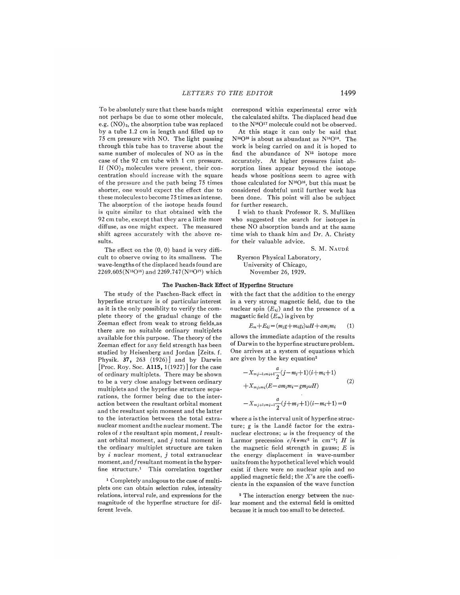To be absolutely sure that these bands might not perhaps be due to some other molecule, e.g.  $(NO)<sub>2</sub>$ , the absorption tube was replaced by a tube 1.<sup>2</sup> cm in length and filled up to 75 cm pressure with NO. The light passing through this tube has to traverse about the same number of molecules of NO as in the case of the 92 cm tube with 1 cm pressure. If  $(NO)_2$  molecules were present, their concentration should increase with the square of the pressure and the path being 75 times shorter, one would expect the effect due to these molecules to become 75 times as intense. The absorption of the isotope heads found is quite similar to that obtained with the 92 cm tube, except that they are a little more diffuse, as one might expect. The measured shift agrees accurately with the above results.

The effect on the (0, 0) band is very difficult to observe owing to its smallness. The wave-lengths of the displaced heads found are 2269.605(N"0") and 2269.747(N"0") which correspond within experimental error with the calculated shifts. The displaced head due to the N<sup>14</sup>O<sup>17</sup> molecule could not be observed.

At this stage it can only be said that  $N^{15}O^{16}$  is about as abundant as  $N^{14}O^{18}$ . The work is being carried on and it is hoped to find the abundance of  $N^{15}$  isotope more accurately. At higher pressures faint absorption lines appear beyond the isotope heads whose positions seem to agree with those calculated for  $N^{16}O^{16}$ , but this must be considered doubtful until further work has been done. This point will also be subject for further research.

I wish to thank Professor R. S. Mulliken who suggested the search for isotopes in these NO absorption bands and at the same time wish to thank him and Dr. A. Christy for their valuable advice.

S. M. NAUDÉ

## Ryerson Physical Laboratory, University of Chicago, November 26, 1929.

## The Paschen-Back Effect of Hyperfine Structur

The study of the Paschen-Back effect in hyperfine structure is of particular interest as it is the only possiblity to verify the complete theory of the gradual change of the Zeeman effect from weak to strong fields, as there are no suitable ordinary multiplets available for this purpose. The theory of the Zeeman effect for any field strength has been studied by Heisenberg and Jordan [Zeits. f. Physik. 37, 263 (1926)] and by Darwin  $\left[\mathrm{Proc.\; Roy.\; Soc.\; A115, 1(1927)}\right]$  for the case of ordinary multiplets. There may be shown to be a very close analogy between ordinary multiplets and the hyperfine structure separations, the former being due to the interaction between the resultant orbital moment and the resultant spin moment and the latter to the interaction between the total extranuclear moment andthe nuclear moment. The roles of  $s$  the resultant spin moment,  $l$  resultant orbital moment, and  $j$  total moment in the ordinary multiplet structure are taken by  $i$  nuclear moment,  $j$  total extranuclear moment, and fresultant moment in the hyperfine structure.<sup>1</sup> This correlation together

i Completely analogous to the case of multiplets one can obtain selection rules, intensity relations, interval rule, and expressions for the magnitude of the hyperflne structure for different levels.

with the fact that the addition to the energy in a very strong magnetic field, due to the nuclear spin  $(E_{ij})$  and to the presence of a magnetic field  $(E_m)$  is given by

$$
E_m + E_{ij} = (m_{j}g + m_{i}g_i)\omega H + am_jm_i \qquad (1)
$$

allows the immediate adaption of the results of Darwin to the hyperfine structure problem. One arrives at a system of equations which are given by the key equation'

$$
-X_{mj-1,m_{i+1}}\frac{a}{2}(j-m_{i}+1)(i+m_{i}+1)
$$
  
+ $X_{mj,m_{i}}(E-am_{j}m_{i}-gm_{j}\omega H)$  (2)  
- $X_{mj+1,m_{i-1}}\frac{a}{2}(j+m_{j}+1)(i-m_{i}+1)=0$ 

where a is the interval unit of hyperfine structure; g is the Landé factor for the extranuclear electrons;  $\omega$  is the frequency of the Larmor precession  $e/4\pi mc^2$  in cm<sup>-1</sup>; H is the magnetic field strength in gauss;  $E$  is the energy displacement in wave-number units from the hypothetical level which would exist if there were no nuclear spin and no applied magnetic field; the  $X$ 's are the coefficients in the expansion of the wave function

<sup>2</sup> The interaction energy between the nuclear moment and the external field is omitted because it is much too small to be detected.